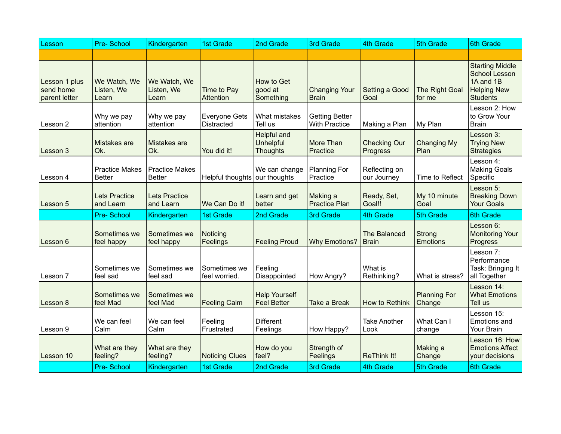| Lesson                                      | Pre-School                             | Kindergarten                           | <b>1st Grade</b>                          | 2nd Grade                                                 | 3rd Grade                                     | 4th Grade                           | 5th Grade                     | <b>6th Grade</b>                                                                                     |
|---------------------------------------------|----------------------------------------|----------------------------------------|-------------------------------------------|-----------------------------------------------------------|-----------------------------------------------|-------------------------------------|-------------------------------|------------------------------------------------------------------------------------------------------|
|                                             |                                        |                                        |                                           |                                                           |                                               |                                     |                               |                                                                                                      |
| Lesson 1 plus<br>send home<br>parent letter | We Watch, We<br>Listen, We<br>Learn    | We Watch, We<br>Listen, We<br>Learn    | Time to Pay<br><b>Attention</b>           | How to Get<br>good at<br>Something                        | <b>Changing Your</b><br><b>Brain</b>          | Setting a Good<br>Goal              | The Right Goal<br>for me      | <b>Starting Middle</b><br><b>School Lesson</b><br>1A and 1B<br><b>Helping New</b><br><b>Students</b> |
| Lesson 2                                    | Why we pay<br>attention                | Why we pay<br>attention                | <b>Everyone Gets</b><br><b>Distracted</b> | What mistakes<br>Tell us                                  | <b>Getting Better</b><br><b>With Practice</b> | Making a Plan                       | My Plan                       | Lesson 2: How<br>to Grow Your<br><b>Brain</b>                                                        |
| Lesson 3                                    | Mistakes are<br>Ok.                    | Mistakes are<br>Ok.                    | You did it!                               | <b>Helpful and</b><br><b>Unhelpful</b><br><b>Thoughts</b> | More Than<br>Practice                         | <b>Checking Our</b><br>Progress     | <b>Changing My</b><br>Plan    | Lesson 3:<br><b>Trying New</b><br><b>Strategies</b>                                                  |
| Lesson 4                                    | <b>Practice Makes</b><br><b>Better</b> | <b>Practice Makes</b><br><b>Better</b> | Helpful thoughts                          | We can change<br>our thoughts                             | <b>Planning For</b><br>Practice               | Reflecting on<br>our Journey        | Time to Reflect               | Lesson 4:<br><b>Making Goals</b><br>Specific                                                         |
| Lesson 5                                    | <b>Lets Practice</b><br>and Learn      | Lets Practice<br>and Learn             | We Can Do it!                             | Learn and get<br>better                                   | Making a<br><b>Practice Plan</b>              | Ready, Set,<br>Goal!!               | My 10 minute<br>Goal          | Lesson 5:<br><b>Breaking Down</b><br><b>Your Goals</b>                                               |
|                                             | <b>Pre-School</b>                      |                                        |                                           | 2nd Grade                                                 |                                               | 4th Grade                           | 5th Grade                     | <b>6th Grade</b>                                                                                     |
|                                             |                                        | Kindergarten                           | <b>1st Grade</b>                          |                                                           | 3rd Grade                                     |                                     |                               |                                                                                                      |
| Lesson 6                                    | Sometimes we<br>feel happy             | Sometimes we<br>feel happy             | Noticing<br>Feelings                      | <b>Feeling Proud</b>                                      | <b>Why Emotions?</b>                          | <b>The Balanced</b><br><b>Brain</b> | Strong<br>Emotions            | Lesson 6:<br><b>Monitoring Your</b><br>Progress                                                      |
| Lesson 7                                    | Sometimes we<br>feel sad               | Sometimes we<br>feel sad               | Sometimes we<br>feel worried.             | Feeling<br>Disappointed                                   | How Angry?                                    | What is<br>Rethinking?              | What is stress?               | Lesson 7:<br>Performance<br>Task: Bringing It<br>all Together                                        |
| Lesson 8                                    | Sometimes we<br>feel Mad               | Sometimes we<br>feel Mad               | <b>Feeling Calm</b>                       | <b>Help Yourself</b><br><b>Feel Better</b>                | <b>Take a Break</b>                           | How to Rethink                      | <b>Planning For</b><br>Change | Lesson 14:<br><b>What Emotions</b><br>Tell us                                                        |
| Lesson 9                                    | We can feel<br>Calm                    | We can feel<br>Calm                    | Feeling<br>Frustrated                     | <b>Different</b><br>Feelings                              | How Happy?                                    | <b>Take Another</b><br>Look         | What Can I<br>change          | Lesson 15:<br>Emotions and<br>Your Brain                                                             |
| Lesson 10                                   | What are they<br>feeling?              | What are they<br>feeling?              | <b>Noticing Clues</b>                     | How do you<br>feel?                                       | Strength of<br>Feelings                       | <b>ReThink It!</b>                  | Making a<br>Change            | Lesson 16: How<br><b>Emotions Affect</b><br>your decisions                                           |